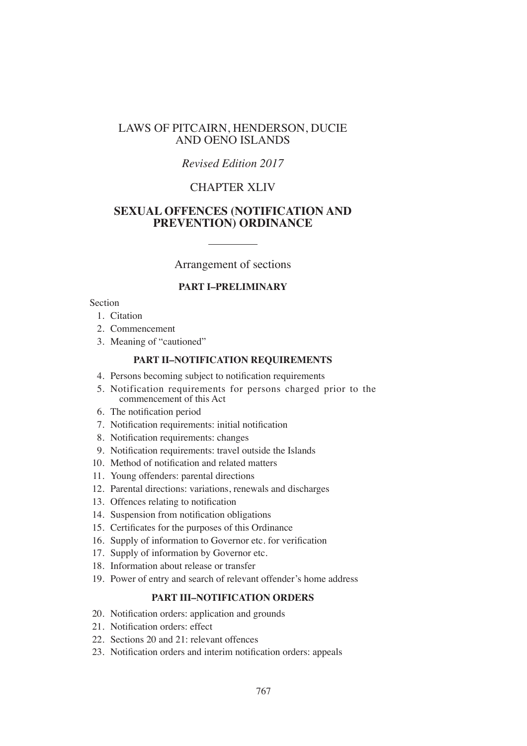## LAWS OF PITCAIRN, HENDERSON, DUCIE AND OENO ISLANDS

## *Revised Edition 2017*

## CHAPTER XLIV

## **SEXUAL OFFENCES (NOTIFICATION AND PREVENTION) ORDINANCE**

Arrangement of sections

### **PART I–PRELIMINARY**

### Section

- 1. Citation
- 2. Commencement
- 3. Meaning of "cautioned"

#### **PART II–NOTIFICATION REQUIREMENTS**

- 4. Persons becoming subject to notification requirements
- 5. Notification requirements for persons charged prior to the commencement of this Act
- 6. The notification period
- 7. Notification requirements: initial notification
- 8. Notification requirements: changes
- 9. Notification requirements: travel outside the Islands
- 10. Method of notification and related matters
- 11. Young offenders: parental directions
- 12. Parental directions: variations, renewals and discharges
- 13. Offences relating to notification
- 14. Suspension from notification obligations
- 15. Certificates for the purposes of this Ordinance
- 16. Supply of information to Governor etc. for verification
- 17. Supply of information by Governor etc.
- 18. Information about release or transfer
- 19. Power of entry and search of relevant offender's home address

## **PART III–NOTIFICATION ORDERS**

- 20. Notification orders: application and grounds
- 21. Notification orders: effect
- 22. Sections 20 and 21: relevant offences
- 23. Notification orders and interim notification orders: appeals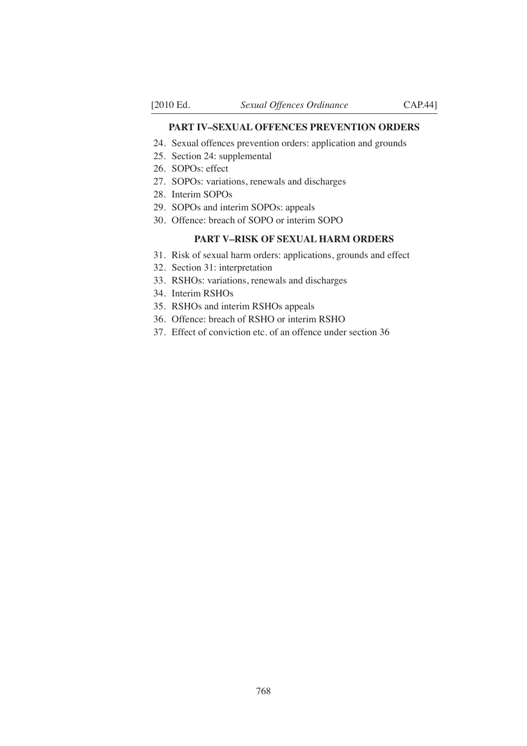#### **PART IV–SEXUAL OFFENCES PREVENTION ORDERS**

- 24. Sexual offences prevention orders: application and grounds
- 25. Section 24: supplemental
- 26. SOPOs: effect
- 27. SOPOs: variations, renewals and discharges
- 28. Interim SOPOs
- 29. SOPOs and interim SOPOs: appeals
- 30. Offence: breach of SOPO or interim SOPO

### **PART V–RISK OF SEXUAL HARM ORDERS**

- 31. Risk of sexual harm orders: applications, grounds and effect
- 32. Section 31: interpretation
- 33. RSHOs: variations, renewals and discharges
- 34. Interim RSHOs
- 35. RSHOs and interim RSHOs appeals
- 36. Offence: breach of RSHO or interim RSHO
- 37. Effect of conviction etc. of an offence under section 36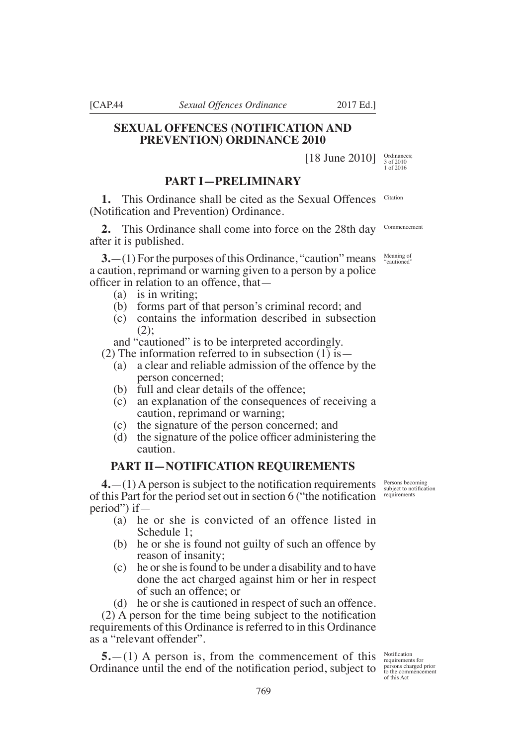[CAP.44 *Sexual Offences Ordinance* 2017 Ed.]

## **SEXUAL OFFENCES (NOTIFICATION AND PREVENTION) ORDINANCE 2010**

[18 June 2010]

# **PART I—PRELIMINARY**

**1.** This Ordinance shall be cited as the Sexual Offences (Notifcation and Prevention) Ordinance. Citation

**2.** This Ordinance shall come into force on the 28th day after it is published. Commencement

**3.**—(1) For the purposes of this Ordinance, "caution" means a caution, reprimand or warning given to a person by a police officer in relation to an offence, that—

- (a) is in writing;
- (b) forms part of that person's criminal record; and
- (c) contains the information described in subsection (2);

and "cautioned" is to be interpreted accordingly.

(2) The information referred to in subsection  $(1)$  is —

- (a) a clear and reliable admission of the offence by the person concerned;
- (b) full and clear details of the offence;
- (c) an explanation of the consequences of receiving a caution, reprimand or warning;
- (c) the signature of the person concerned; and
- (d) the signature of the police officer administering the caution.

### **PART II—NOTIFICATION REQUIREMENTS**

 $4.$ —(1) A person is subject to the notification requirements of this Part for the period set out in section 6 ("the notification" period") if—

- (a) he or she is convicted of an offence listed in Schedule 1;
- (b) he or she is found not guilty of such an offence by reason of insanity;
- (c) he or she is found to be under a disability and to have done the act charged against him or her in respect of such an offence; or

(d) he or she is cautioned in respect of such an offence.  $(2)$  A person for the time being subject to the notification requirements of this Ordinance is referred to in this Ordinance as a "relevant offender".

**5.**—(1) A person is, from the commencement of this Ordinance until the end of the notification period, subject to

Notifcation requirements for persons charged prior to the commencement of this Act

Persons becoming subject to notification requirements

Meaning of "cautioned"

Ordinances; 3 of 2010 1 of 2016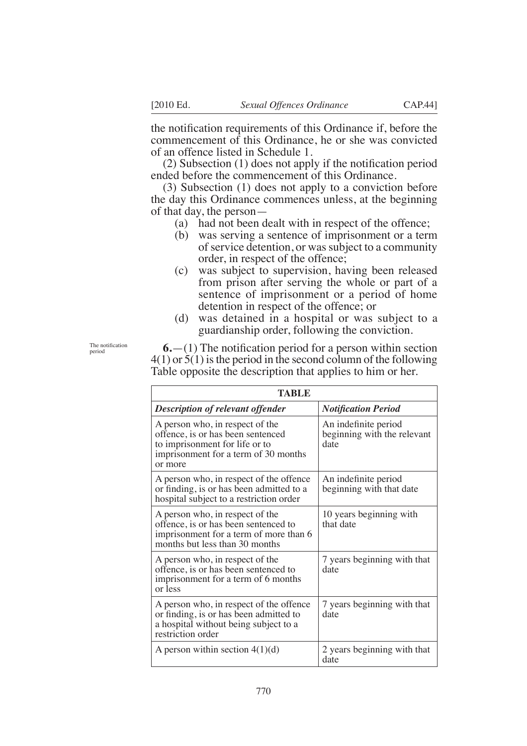the notification requirements of this Ordinance if, before the commencement of this Ordinance, he or she was convicted of an offence listed in Schedule 1.

 $(2)$  Subsection  $(1)$  does not apply if the notification period ended before the commencement of this Ordinance.

(3) Subsection (1) does not apply to a conviction before the day this Ordinance commences unless, at the beginning of that day, the person—

- (a) had not been dealt with in respect of the offence;
- (b) was serving a sentence of imprisonment or a term of service detention, or was subject to a community order, in respect of the offence;
- (c) was subject to supervision, having been released from prison after serving the whole or part of a sentence of imprisonment or a period of home detention in respect of the offence; or
- (d) was detained in a hospital or was subject to a guardianship order, following the conviction.

The notification period

 $6.$ — $(1)$  The notification period for a person within section 4(1) or 5(1) is the period in the second column of the following Table opposite the description that applies to him or her.

| TABLE                                                                                                                                                     |                                                             |  |
|-----------------------------------------------------------------------------------------------------------------------------------------------------------|-------------------------------------------------------------|--|
| <b>Description of relevant offender</b>                                                                                                                   | <b>Notification Period</b>                                  |  |
| A person who, in respect of the<br>offence, is or has been sentenced<br>to imprisonment for life or to<br>imprisonment for a term of 30 months<br>or more | An indefinite period<br>beginning with the relevant<br>date |  |
| A person who, in respect of the offence<br>or finding, is or has been admitted to a<br>hospital subject to a restriction order                            | An indefinite period<br>beginning with that date            |  |
| A person who, in respect of the<br>offence, is or has been sentenced to<br>imprisonment for a term of more than 6<br>months but less than 30 months       | 10 years beginning with<br>that date                        |  |
| A person who, in respect of the<br>offence, is or has been sentenced to<br>imprisonment for a term of 6 months<br>or less                                 | 7 years beginning with that<br>date                         |  |
| A person who, in respect of the offence<br>or finding, is or has been admitted to<br>a hospital without being subject to a<br>restriction order           | 7 years beginning with that<br>date                         |  |
| A person within section $4(1)(d)$                                                                                                                         | 2 years beginning with that<br>date                         |  |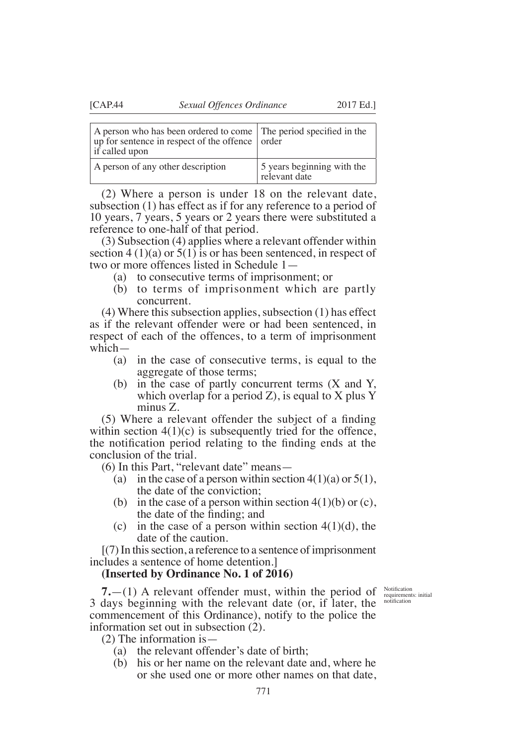| A person who has been ordered to come The period specified in the<br>up for sentence in respect of the offence order<br>if called upon |                            |
|----------------------------------------------------------------------------------------------------------------------------------------|----------------------------|
| A person of any other description                                                                                                      | 5 years beginning with the |

(2) Where a person is under 18 on the relevant date, subsection (1) has effect as if for any reference to a period of 10 years, 7 years, 5 years or 2 years there were substituted a reference to one-half of that period.

relevant date

(3) Subsection (4) applies where a relevant offender within section  $4(1)(a)$  or  $5(1)$  is or has been sentenced, in respect of two or more offences listed in Schedule 1—

- (a) to consecutive terms of imprisonment; or
- (b) to terms of imprisonment which are partly concurrent.

(4) Where this subsection applies, subsection (1) has effect as if the relevant offender were or had been sentenced, in respect of each of the offences, to a term of imprisonment which—

- (a) in the case of consecutive terms, is equal to the aggregate of those terms;
- (b) in the case of partly concurrent terms (X and Y, which overlap for a period  $Z$ ), is equal to  $X$  plus  $Y$ minus Z.

 $(5)$  Where a relevant offender the subject of a finding within section  $4(1)(c)$  is subsequently tried for the offence, the notification period relating to the finding ends at the conclusion of the trial.

(6) In this Part, "relevant date" means—

- (a) in the case of a person within section  $4(1)(a)$  or  $5(1)$ , the date of the conviction;
- (b) in the case of a person within section  $4(1)(b)$  or (c), the date of the finding; and
- (c) in the case of a person within section  $4(1)(d)$ , the date of the caution.

[(7) In this section, a reference to a sentence of imprisonment includes a sentence of home detention.]

### **(Inserted by Ordinance No. 1 of 2016)**

**7.**  $-$ (1) A relevant offender must, within the period of  $\frac{\text{Notification}}{\text{requirement}}$ 3 days beginning with the relevant date (or, if later, the commencement of this Ordinance), notify to the police the information set out in subsection (2).

requirements: initial notifcation

(2) The information is—

- (a) the relevant offender's date of birth;
- (b) his or her name on the relevant date and, where he or she used one or more other names on that date,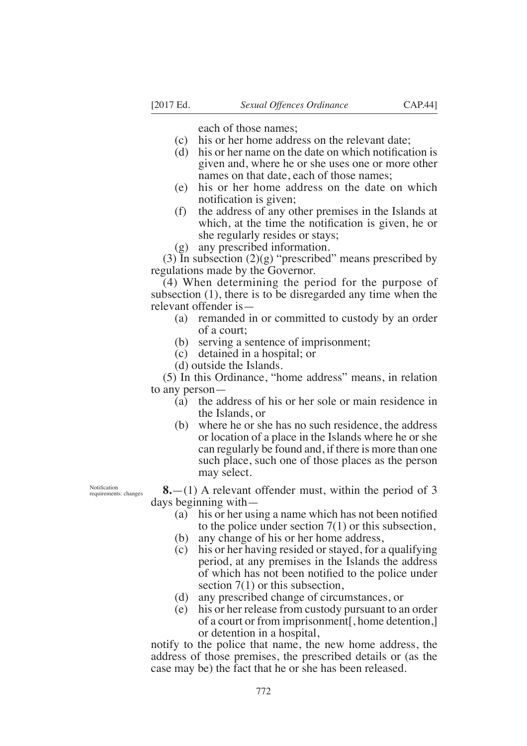each of those names;

- (c) his or her home address on the relevant date;
- (d) his or her name on the date on which notification is given and, where he or she uses one or more other names on that date, each of those names;
- (e) his or her home address on the date on which notification is given;
- (f) the address of any other premises in the Islands at which, at the time the notification is given, he or she regularly resides or stays;

(g) any prescribed information.

(3) In subsection  $(2)(g)$  "prescribed" means prescribed by regulations made by the Governor.

(4) When determining the period for the purpose of subsection (1), there is to be disregarded any time when the relevant offender is—

- (a) remanded in or committed to custody by an order of a court;
- (b) serving a sentence of imprisonment;
- (c) detained in a hospital; or
- (d) outside the Islands.

(5) In this Ordinance, "home address" means, in relation to any person—

- (a) the address of his or her sole or main residence in the Islands, or
- (b) where he or she has no such residence, the address or location of a place in the Islands where he or she can regularly be found and, if there is more than one such place, such one of those places as the person may select.

Notifcation requirements: changes

**8.**—(1) A relevant offender must, within the period of 3 days beginning with—

- (a) his or her using a name which has not been notified to the police under section 7(1) or this subsection,
- (b) any change of his or her home address,
- (c) his or her having resided or stayed, for a qualifying period, at any premises in the Islands the address of which has not been notified to the police under section 7(1) or this subsection,
- (d) any prescribed change of circumstances, or
- (e) his or her release from custody pursuant to an order of a court or from imprisonment[, home detention,] or detention in a hospital,

notify to the police that name, the new home address, the address of those premises, the prescribed details or (as the case may be) the fact that he or she has been released.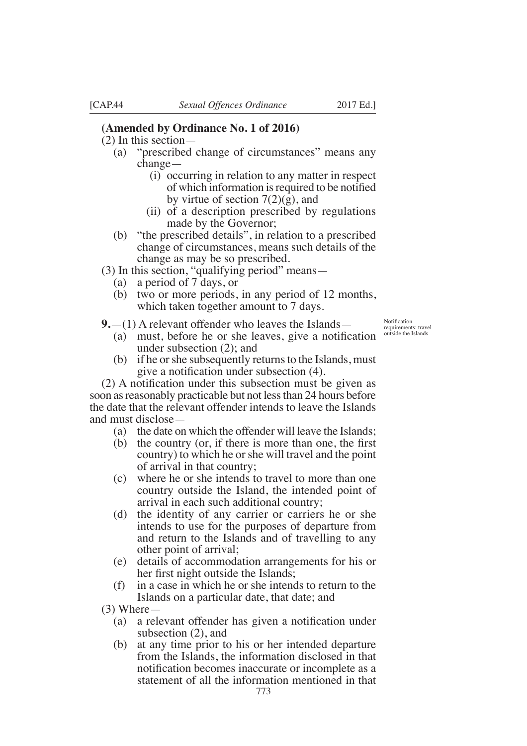- (2) In this section—
	- (a) "prescribed change of circumstances" means any change—
		- (i) occurring in relation to any matter in respect of which information is required to be notified by virtue of section  $7(2)(g)$ , and
		- (ii) of a description prescribed by regulations made by the Governor;
	- (b) "the prescribed details", in relation to a prescribed change of circumstances, means such details of the change as may be so prescribed.
- $(3)$  In this section, "qualifying period" means—
	- (a) a period of 7 days, or
	- (b) two or more periods, in any period of 12 months, which taken together amount to 7 days.

**9.**—(1) A relevant offender who leaves the Islands—

- (a) must, before he or she leaves, give a notification under subsection (2); and
- (b) if he or she subsequently returns to the Islands, must give a notification under subsection  $(4)$ .

 $(2)$  A notification under this subsection must be given as soon as reasonably practicable but not less than 24 hours before the date that the relevant offender intends to leave the Islands and must disclose—

- (a) the date on which the offender will leave the Islands;
- (b) the country (or, if there is more than one, the first country) to which he or she will travel and the point of arrival in that country;
- (c) where he or she intends to travel to more than one country outside the Island, the intended point of arrival in each such additional country;
- (d) the identity of any carrier or carriers he or she intends to use for the purposes of departure from and return to the Islands and of travelling to any other point of arrival;
- (e) details of accommodation arrangements for his or her first night outside the Islands;
- (f) in a case in which he or she intends to return to the Islands on a particular date, that date; and

(3) Where—

- (a) a relevant offender has given a notification under subsection (2), and
- (b) at any time prior to his or her intended departure from the Islands, the information disclosed in that notification becomes inaccurate or incomplete as a statement of all the information mentioned in that

**Notification** requirements: travel outside the Islands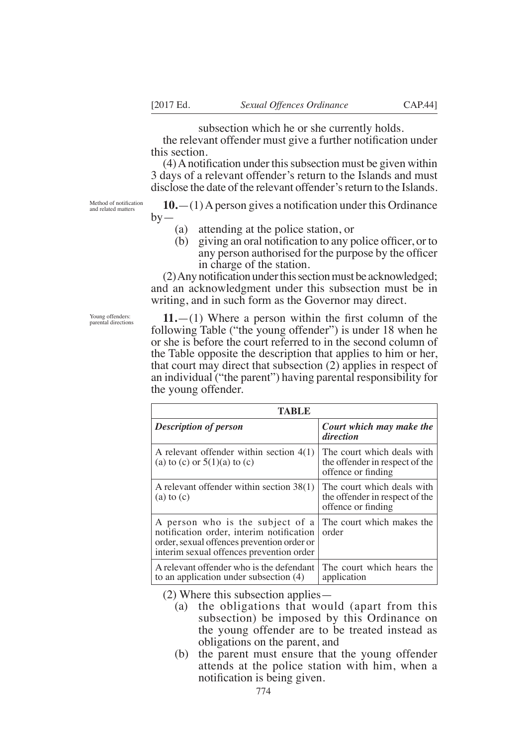subsection which he or she currently holds.

the relevant offender must give a further notification under this section.

 $(4)$  A notification under this subsection must be given within 3 days of a relevant offender's return to the Islands and must disclose the date of the relevant offender's return to the Islands.

Method of notification and related matters

 $10$ .—(1) A person gives a notification under this Ordinance  $by-$ 

- (a) attending at the police station, or
- (b) giving an oral notification to any police officer, or to any person authorised for the purpose by the officer in charge of the station.

 $(2)$  Any notification under this section must be acknowledged; and an acknowledgment under this subsection must be in writing, and in such form as the Governor may direct.

Young offenders: parental directions

 $11.$ —(1) Where a person within the first column of the following Table ("the young offender") is under 18 when he or she is before the court referred to in the second column of the Table opposite the description that applies to him or her, that court may direct that subsection (2) applies in respect of an individual ("the parent") having parental responsibility for the young offender.

| TABLE                                                                                                                                                                  |                                                                                    |
|------------------------------------------------------------------------------------------------------------------------------------------------------------------------|------------------------------------------------------------------------------------|
| <b>Description of person</b>                                                                                                                                           | Court which may make the<br>direction                                              |
| A relevant offender within section $4(1)$<br>(a) to (c) or $5(1)(a)$ to (c)                                                                                            | The court which deals with<br>the offender in respect of the<br>offence or finding |
| A relevant offender within section 38(1)<br>$(a)$ to $(c)$                                                                                                             | The court which deals with<br>the offender in respect of the<br>offence or finding |
| A person who is the subject of a<br>notification order, interim notification<br>order, sexual offences prevention order or<br>interim sexual offences prevention order | The court which makes the<br>order                                                 |
| A relevant offender who is the defendant<br>to an application under subsection $(4)$                                                                                   | The court which hears the<br>application                                           |

(2) Where this subsection applies—

- (a) the obligations that would (apart from this subsection) be imposed by this Ordinance on the young offender are to be treated instead as obligations on the parent, and
- (b) the parent must ensure that the young offender attends at the police station with him, when a notification is being given.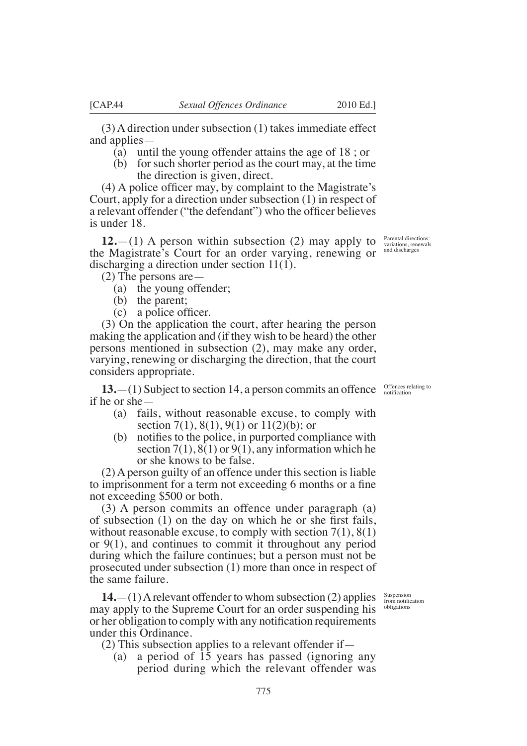(3) A direction under subsection (1) takes immediate effect and applies—

- (a) until the young offender attains the age of 18 ; or
- (b) for such shorter period as the court may, at the time the direction is given, direct.

 $(4)$  A police officer may, by complaint to the Magistrate's Court, apply for a direction under subsection (1) in respect of a relevant offender ("the defendant") who the officer believes is under 18.

**12.**—(1) A person within subsection (2) may apply to the Magistrate's Court for an order varying, renewing or discharging a direction under section 11(1).

(2) The persons are—

- (a) the young offender;
- (b) the parent;
- (c) a police officer.

(3) On the application the court, after hearing the person making the application and (if they wish to be heard) the other persons mentioned in subsection (2), may make any order, varying, renewing or discharging the direction, that the court considers appropriate.

**13.**—(1) Subject to section 14, a person commits an offence  $\frac{\text{Offences relating to}}{\text{notification}}$ if he or she—

- (a) fails, without reasonable excuse, to comply with section 7(1), 8(1), 9(1) or  $11(2)(b)$ ; or
- $(b)$  notifies to the police, in purported compliance with section 7(1),  $8(1)$  or 9(1), any information which he or she knows to be false.

(2) A person guilty of an offence under this section is liable to imprisonment for a term not exceeding 6 months or a fine not exceeding \$500 or both.

(3) A person commits an offence under paragraph (a) of subsection  $(1)$  on the day on which he or she first fails, without reasonable excuse, to comply with section  $7(1)$ ,  $8(1)$ or 9(1), and continues to commit it throughout any period during which the failure continues; but a person must not be prosecuted under subsection (1) more than once in respect of the same failure.

**14.**—(1) A relevant offender to whom subsection (2) applies may apply to the Supreme Court for an order suspending his or her obligation to comply with any notification requirements under this Ordinance.

(2) This subsection applies to a relevant offender if—

(a) a period of 15 years has passed (ignoring any period during which the relevant offender was

Suspension<br>from notification<br>obligations

variations, renewals and discharges

Parental directions: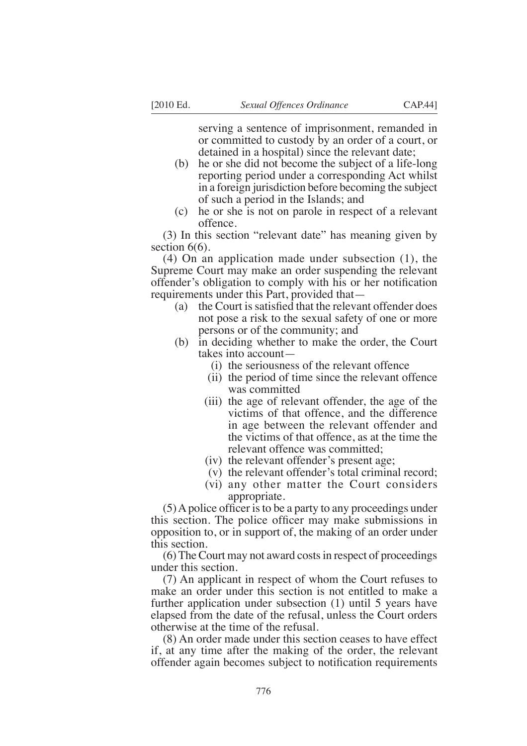serving a sentence of imprisonment, remanded in or committed to custody by an order of a court, or detained in a hospital) since the relevant date;

- (b) he or she did not become the subject of a life-long reporting period under a corresponding Act whilst in a foreign jurisdiction before becoming the subject of such a period in the Islands; and
- (c) he or she is not on parole in respect of a relevant offence.

(3) In this section "relevant date" has meaning given by section  $6(6)$ .

(4) On an application made under subsection (1), the Supreme Court may make an order suspending the relevant offender's obligation to comply with his or her notification requirements under this Part, provided that—

- (a) the Court is satisfied that the relevant offender does not pose a risk to the sexual safety of one or more persons or of the community; and
- (b) in deciding whether to make the order, the Court takes into account—
	- (i) the seriousness of the relevant offence
	- (ii) the period of time since the relevant offence was committed
	- (iii) the age of relevant offender, the age of the victims of that offence, and the difference in age between the relevant offender and the victims of that offence, as at the time the relevant offence was committed;
	- (iv) the relevant offender's present age;
	- (v) the relevant offender's total criminal record;
	- (vi) any other matter the Court considers appropriate.

 $(5)$  A police officer is to be a party to any proceedings under this section. The police officer may make submissions in opposition to, or in support of, the making of an order under this section.

(6) The Court may not award costs in respect of proceedings under this section.

(7) An applicant in respect of whom the Court refuses to make an order under this section is not entitled to make a further application under subsection (1) until 5 years have elapsed from the date of the refusal, unless the Court orders otherwise at the time of the refusal.

(8) An order made under this section ceases to have effect if, at any time after the making of the order, the relevant offender again becomes subject to notification requirements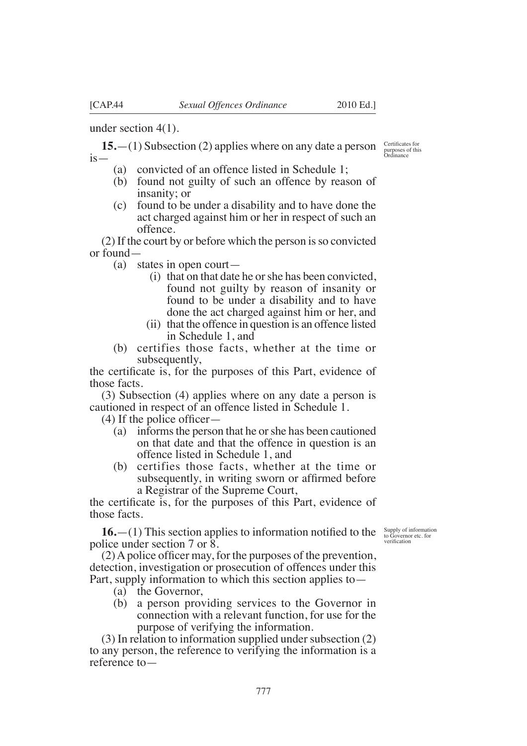under section 4(1).

**15.**—(1) Subsection (2) applies where on any date a person  $is-$ 

- (a) convicted of an offence listed in Schedule 1;
- (b) found not guilty of such an offence by reason of insanity; or
- (c) found to be under a disability and to have done the act charged against him or her in respect of such an offence.

(2) If the court by or before which the person is so convicted or found—

(a) states in open court—

- (i) that on that date he or she has been convicted, found not guilty by reason of insanity or found to be under a disability and to have done the act charged against him or her, and
- (ii) that the offence in question is an offence listed in Schedule 1, and
- (b) certifies those facts, whether at the time or subsequently,

the certificate is, for the purposes of this Part, evidence of those facts.

(3) Subsection (4) applies where on any date a person is cautioned in respect of an offence listed in Schedule 1.

 $(4)$  If the police officer—

- (a) informs the person that he or she has been cautioned on that date and that the offence in question is an offence listed in Schedule 1, and
- (b) certifies those facts, whether at the time or subsequently, in writing sworn or affirmed before a Registrar of the Supreme Court,

the certificate is, for the purposes of this Part, evidence of those facts.

 $16.$ —(1) This section applies to information notified to the police under section 7 or 8.

Supply of information to Governor etc. for verifcation

 $(2)$  A police officer may, for the purposes of the prevention, detection, investigation or prosecution of offences under this Part, supply information to which this section applies to—

- (a) the Governor,
- (b) a person providing services to the Governor in connection with a relevant function, for use for the purpose of verifying the information.

(3) In relation to information supplied under subsection (2) to any person, the reference to verifying the information is a reference to—

&ertifcates for purposes of this Ordinance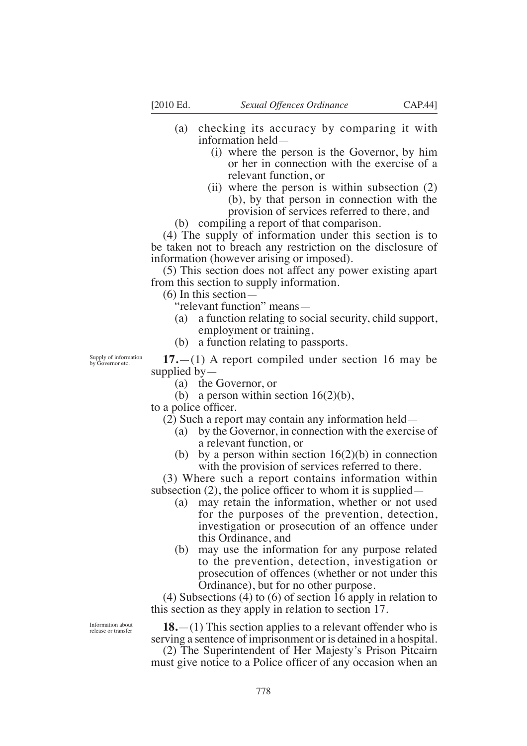- (a) checking its accuracy by comparing it with information held—
	- (i) where the person is the Governor, by him or her in connection with the exercise of a relevant function, or
	- (ii) where the person is within subsection (2) (b), by that person in connection with the provision of services referred to there, and
- (b) compiling a report of that comparison.

(4) The supply of information under this section is to be taken not to breach any restriction on the disclosure of information (however arising or imposed).

(5) This section does not affect any power existing apart from this section to supply information.

(6) In this section—

"relevant function" means—

- (a) a function relating to social security, child support, employment or training,
- (b) a function relating to passports.

**17.**—(1) A report compiled under section 16 may be supplied by—

- (a) the Governor, or
- (b) a person within section  $16(2)(b)$ ,

to a police officer.

(2) Such a report may contain any information held—

- (a) by the Governor, in connection with the exercise of a relevant function, or
- (b) by a person within section  $16(2)(b)$  in connection with the provision of services referred to there.

(3) Where such a report contains information within subsection (2), the police officer to whom it is supplied  $-$ 

- (a) may retain the information, whether or not used for the purposes of the prevention, detection, investigation or prosecution of an offence under this Ordinance, and
- (b) may use the information for any purpose related to the prevention, detection, investigation or prosecution of offences (whether or not under this Ordinance), but for no other purpose.

(4) Subsections (4) to (6) of section 16 apply in relation to this section as they apply in relation to section 17.

**18.**—(1) This section applies to a relevant offender who is serving a sentence of imprisonment or is detained in a hospital.

(2) The Superintendent of Her Majesty's Prison Pitcairn must give notice to a Police officer of any occasion when an

Information about release or transfer

Supply of information by Governor etc.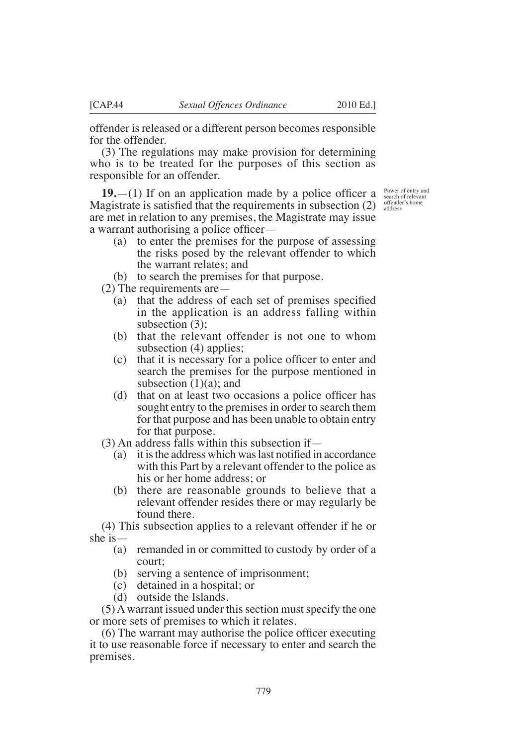offender is released or a different person becomes responsible for the offender.

(3) The regulations may make provision for determining who is to be treated for the purposes of this section as responsible for an offender.

**19.**—(1) If on an application made by a police officer a Magistrate is satisfied that the requirements in subsection  $(2)$ are met in relation to any premises, the Magistrate may issue a warrant authorising a police officer—

Power of entry and search of relevant offender's home address

- (a) to enter the premises for the purpose of assessing the risks posed by the relevant offender to which the warrant relates; and
- (b) to search the premises for that purpose.

(2) The requirements are—

- (a) that the address of each set of premises specified in the application is an address falling within subsection (3);
- (b) that the relevant offender is not one to whom subsection (4) applies;
- (c) that it is necessary for a police officer to enter and search the premises for the purpose mentioned in subsection  $(1)(a)$ ; and
- (d) that on at least two occasions a police officer has sought entry to the premises in order to search them for that purpose and has been unable to obtain entry for that purpose.

(3) An address falls within this subsection if—

- (a) it is the address which was last notified in accordance with this Part by a relevant offender to the police as his or her home address; or
- (b) there are reasonable grounds to believe that a relevant offender resides there or may regularly be found there.

(4) This subsection applies to a relevant offender if he or she is—

- (a) remanded in or committed to custody by order of a court;
- (b) serving a sentence of imprisonment;
- (c) detained in a hospital; or
- (d) outside the Islands.

(5) A warrant issued under this section must specify the one or more sets of premises to which it relates.

 $(6)$  The warrant may authorise the police officer executing it to use reasonable force if necessary to enter and search the premises.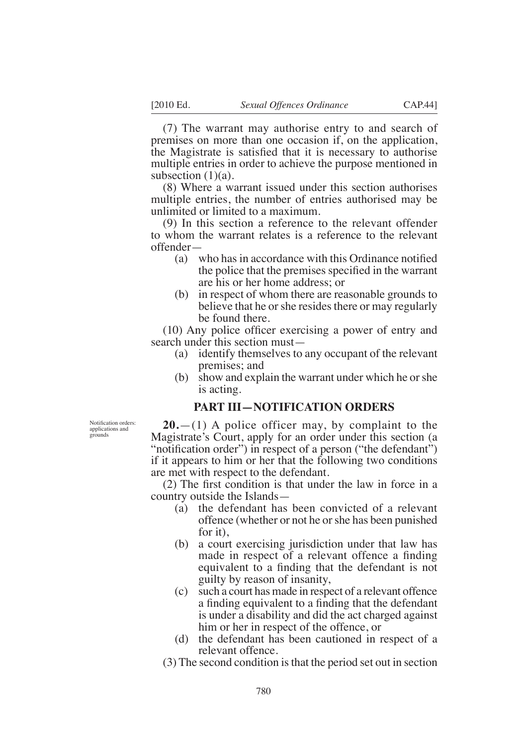(7) The warrant may authorise entry to and search of premises on more than one occasion if, on the application, the Magistrate is satisfied that it is necessary to authorise

multiple entries in order to achieve the purpose mentioned in subsection  $(1)(a)$ .

(8) Where a warrant issued under this section authorises multiple entries, the number of entries authorised may be unlimited or limited to a maximum.

(9) In this section a reference to the relevant offender to whom the warrant relates is a reference to the relevant offender—

- (a) who has in accordance with this Ordinance notified the police that the premises specified in the warrant are his or her home address; or
- (b) in respect of whom there are reasonable grounds to believe that he or she resides there or may regularly be found there.

 $(10)$  Any police officer exercising a power of entry and search under this section must—

- (a) identify themselves to any occupant of the relevant premises; and
- (b) show and explain the warrant under which he or she is acting.

### **PART III—NOTIFICATION ORDERS**

Notification orders: applications and grounds

**20.**—(1) A police officer may, by complaint to the Magistrate's Court, apply for an order under this section (a "notification order") in respect of a person ("the defendant") if it appears to him or her that the following two conditions are met with respect to the defendant.

 $(2)$  The first condition is that under the law in force in a country outside the Islands—

- (a) the defendant has been convicted of a relevant offence (whether or not he or she has been punished for it),
- (b) a court exercising jurisdiction under that law has made in respect of a relevant offence a finding equivalent to a finding that the defendant is not guilty by reason of insanity,
- (c) such a court has made in respect of a relevant offence a finding equivalent to a finding that the defendant is under a disability and did the act charged against him or her in respect of the offence, or
- (d) the defendant has been cautioned in respect of a relevant offence.

(3) The second condition is that the period set out in section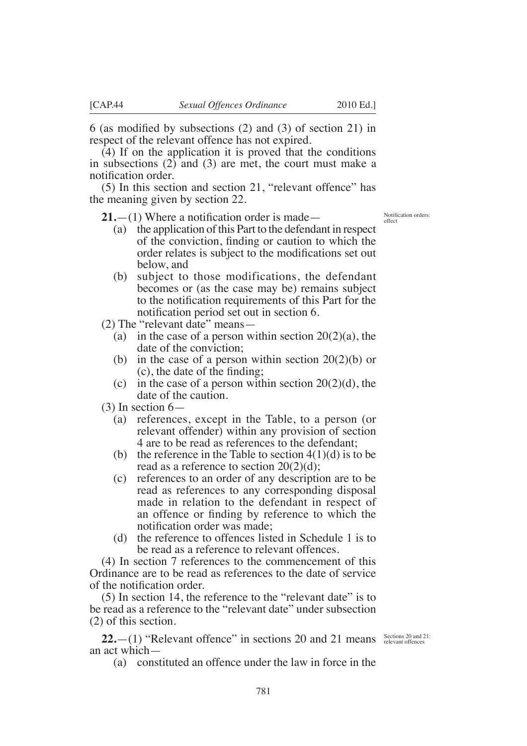6 (as modified by subsections  $(2)$  and  $(3)$  of section 21) in respect of the relevant offence has not expired.

(4) If on the application it is proved that the conditions in subsections (2) and (3) are met, the court must make a notifcation order.

(5) In this section and section 21, "relevant offence" has the meaning given by section 22.

 $21$ .—(1) Where a notification order is made—

- (a) the application of this Part to the defendant in respect of the conviction, finding or caution to which the order relates is subject to the modifications set out below, and
- (b) subject to those modifications, the defendant becomes or (as the case may be) remains subject to the notification requirements of this Part for the notifcation period set out in section 6.
- (2) The "relevant date" means—
	- (a) in the case of a person within section  $20(2)(a)$ , the date of the conviction;
	- (b) in the case of a person within section  $20(2)(b)$  or  $(c)$ , the date of the finding;
	- (c) in the case of a person within section  $20(2)(d)$ , the date of the caution.
- $(3)$  In section 6–
	- (a) references, except in the Table, to a person (or relevant offender) within any provision of section 4 are to be read as references to the defendant;
	- (b) the reference in the Table to section  $4(1)(d)$  is to be read as a reference to section 20(2)(d);
	- (c) references to an order of any description are to be read as references to any corresponding disposal made in relation to the defendant in respect of an offence or finding by reference to which the notification order was made:
	- (d) the reference to offences listed in Schedule 1 is to be read as a reference to relevant offences.

(4) In section 7 references to the commencement of this Ordinance are to be read as references to the date of service of the notification order.

(5) In section 14, the reference to the "relevant date" is to be read as a reference to the "relevant date" under subsection (2) of this section.

**22.**  $-(1)$  "Relevant offence" in sections 20 and 21 means Sections 20 and 21: an act which—

(a) constituted an offence under the law in force in the

Notifcation orders effect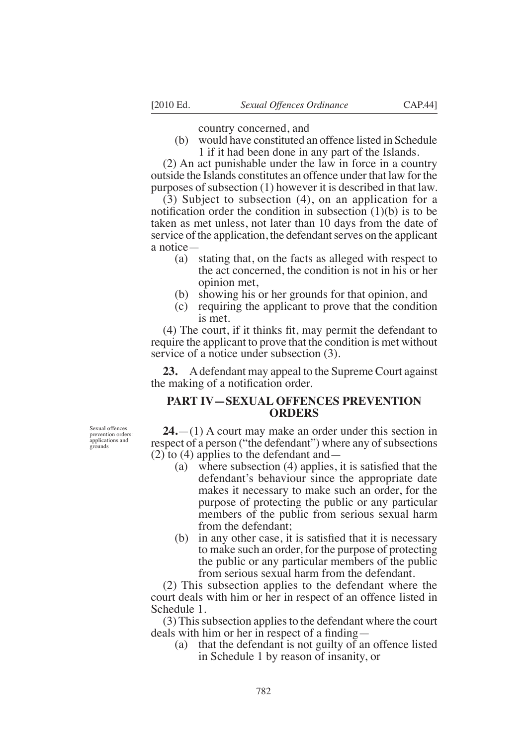country concerned, and

(b) would have constituted an offence listed in Schedule 1 if it had been done in any part of the Islands.

(2) An act punishable under the law in force in a country outside the Islands constitutes an offence under that law for the purposes of subsection (1) however it is described in that law.

(3) Subject to subsection (4), on an application for a notification order the condition in subsection  $(1)(b)$  is to be taken as met unless, not later than 10 days from the date of service of the application, the defendant serves on the applicant a notice—

- (a) stating that, on the facts as alleged with respect to the act concerned, the condition is not in his or her opinion met,
- (b) showing his or her grounds for that opinion, and
- (c) requiring the applicant to prove that the condition is met.

 $(4)$  The court, if it thinks fit, may permit the defendant to require the applicant to prove that the condition is met without service of a notice under subsection (3).

**23.** A defendant may appeal to the Supreme Court against the making of a notification order.

## **PART IV—SEXUAL OFFENCES PREVENTION ORDERS**

Sexual offences prevention orders: applications and grounds

**24.**—(1) A court may make an order under this section in respect of a person ("the defendant") where any of subsections (2) to (4) applies to the defendant and—

- (a) where subsection  $(4)$  applies, it is satisfied that the defendant's behaviour since the appropriate date makes it necessary to make such an order, for the purpose of protecting the public or any particular members of the public from serious sexual harm from the defendant;
- (b) in any other case, it is satisfied that it is necessary to make such an order, for the purpose of protecting the public or any particular members of the public from serious sexual harm from the defendant.

(2) This subsection applies to the defendant where the court deals with him or her in respect of an offence listed in Schedule 1.

(3) This subsection applies to the defendant where the court deals with him or her in respect of a finding  $-$ 

(a) that the defendant is not guilty of an offence listed in Schedule 1 by reason of insanity, or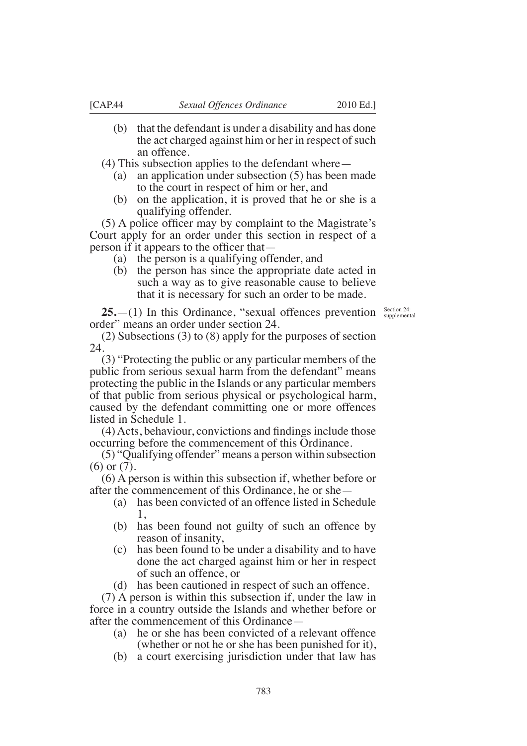- (b) that the defendant is under a disability and has done the act charged against him or her in respect of such an offence.
- (4) This subsection applies to the defendant where—
	- (a) an application under subsection (5) has been made to the court in respect of him or her, and
	- (b) on the application, it is proved that he or she is a qualifying offender.

 $(5)$  A police officer may by complaint to the Magistrate's Court apply for an order under this section in respect of a person if it appears to the officer that—

- (a) the person is a qualifying offender, and
- (b) the person has since the appropriate date acted in such a way as to give reasonable cause to believe that it is necessary for such an order to be made.

**25.**—(1) In this Ordinance, "sexual offences prevention  $\frac{\text{Section 24:}}{\text{supplemental}}$ order" means an order under section 24.

(2) Subsections (3) to (8) apply for the purposes of section 24.

(3) "Protecting the public or any particular members of the public from serious sexual harm from the defendant" means protecting the public in the Islands or any particular members of that public from serious physical or psychological harm, caused by the defendant committing one or more offences listed in Schedule 1.

 $(4)$  Acts, behaviour, convictions and findings include those occurring before the commencement of this Ordinance.

(5) "Qualifying offender" means a person within subsection (6) or (7).

(6) A person is within this subsection if, whether before or after the commencement of this Ordinance, he or she—

- (a) has been convicted of an offence listed in Schedule 1,
- (b) has been found not guilty of such an offence by reason of insanity,
- (c) has been found to be under a disability and to have done the act charged against him or her in respect of such an offence, or
- (d) has been cautioned in respect of such an offence.

(7) A person is within this subsection if, under the law in force in a country outside the Islands and whether before or after the commencement of this Ordinance—

- (a) he or she has been convicted of a relevant offence (whether or not he or she has been punished for it),
- (b) a court exercising jurisdiction under that law has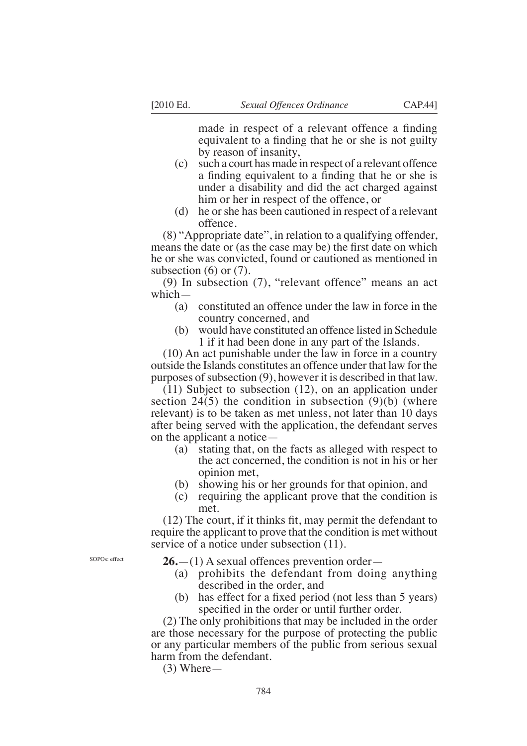made in respect of a relevant offence a finding equivalent to a finding that he or she is not guilty by reason of insanity,

- (c) such a court has made in respect of a relevant offence a finding equivalent to a finding that he or she is under a disability and did the act charged against him or her in respect of the offence, or
- (d) he or she has been cautioned in respect of a relevant offence.

(8) "Appropriate date", in relation to a qualifying offender, means the date or (as the case may be) the first date on which he or she was convicted, found or cautioned as mentioned in subsection  $(6)$  or  $(7)$ .

(9) In subsection (7), "relevant offence" means an act which—

- (a) constituted an offence under the law in force in the country concerned, and
- (b) would have constituted an offence listed in Schedule 1 if it had been done in any part of the Islands.

(10) An act punishable under the law in force in a country outside the Islands constitutes an offence under that law for the purposes of subsection (9), however it is described in that law.

(11) Subject to subsection (12), on an application under section 24(5) the condition in subsection  $(9)(b)$  (where relevant) is to be taken as met unless, not later than 10 days after being served with the application, the defendant serves on the applicant a notice—

- (a) stating that, on the facts as alleged with respect to the act concerned, the condition is not in his or her opinion met,
- (b) showing his or her grounds for that opinion, and
- (c) requiring the applicant prove that the condition is met.

 $(12)$  The court, if it thinks fit, may permit the defendant to require the applicant to prove that the condition is met without service of a notice under subsection (11).

**26.**—(1) A sexual offences prevention order—

- (a) prohibits the defendant from doing anything described in the order, and
- (b) has effect for a fixed period (not less than  $5$  years) specified in the order or until further order.

(2) The only prohibitions that may be included in the order are those necessary for the purpose of protecting the public or any particular members of the public from serious sexual harm from the defendant.

 $(3)$  Where —

SOPOs: effect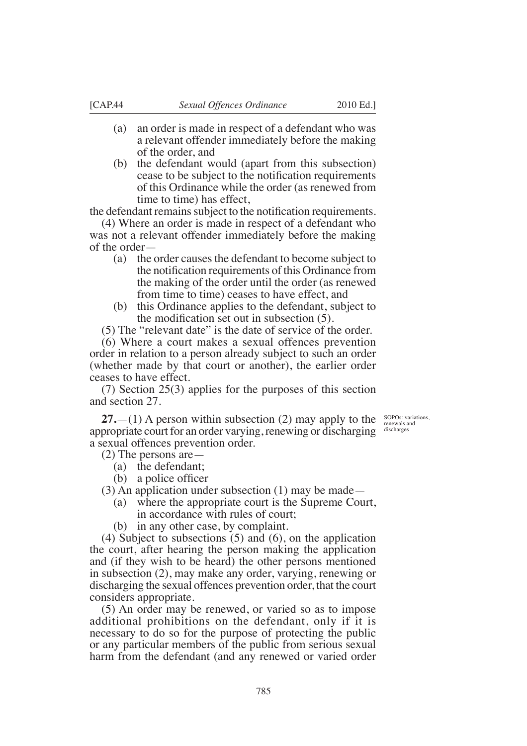- (a) an order is made in respect of a defendant who was a relevant offender immediately before the making of the order, and
- (b) the defendant would (apart from this subsection) cease to be subject to the notification requirements of this Ordinance while the order (as renewed from time to time) has effect,

the defendant remains subject to the notification requirements.

(4) Where an order is made in respect of a defendant who was not a relevant offender immediately before the making of the order—

- (a) the order causes the defendant to become subject to the notification requirements of this Ordinance from the making of the order until the order (as renewed from time to time) ceases to have effect, and
- (b) this Ordinance applies to the defendant, subject to the modification set out in subsection  $(5)$ .

(5) The "relevant date" is the date of service of the order.

(6) Where a court makes a sexual offences prevention order in relation to a person already subject to such an order (whether made by that court or another), the earlier order ceases to have effect.

(7) Section 25(3) applies for the purposes of this section and section 27.

**27.**—(1) A person within subsection (2) may apply to the appropriate court for an order varying, renewing or discharging a sexual offences prevention order.

(2) The persons are—

- (a) the defendant;
- (b) a police officer

(3) An application under subsection (1) may be made—

- (a) where the appropriate court is the Supreme Court,
	- in accordance with rules of court;
- (b) in any other case, by complaint.

(4) Subject to subsections (5) and (6), on the application the court, after hearing the person making the application and (if they wish to be heard) the other persons mentioned in subsection (2), may make any order, varying, renewing or discharging the sexual offences prevention order, that the court considers appropriate.

(5) An order may be renewed, or varied so as to impose additional prohibitions on the defendant, only if it is necessary to do so for the purpose of protecting the public or any particular members of the public from serious sexual harm from the defendant (and any renewed or varied order

SOPOs: variations, renewals and discharges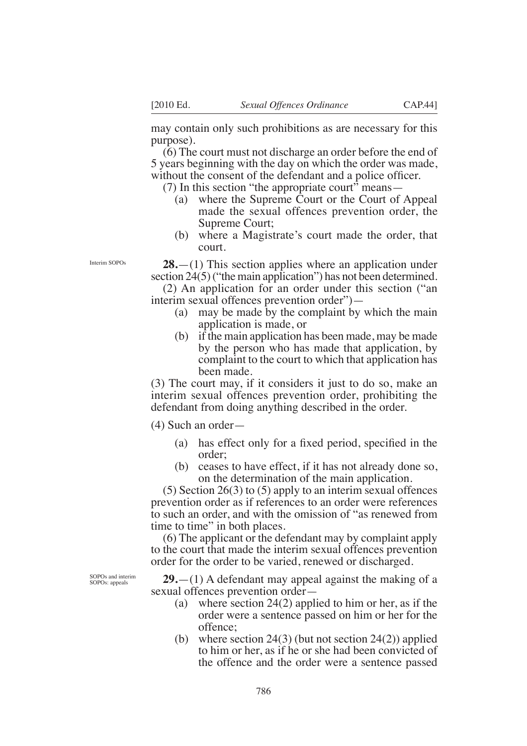may contain only such prohibitions as are necessary for this purpose).

(6) The court must not discharge an order before the end of 5 years beginning with the day on which the order was made, without the consent of the defendant and a police officer.

(7) In this section "the appropriate court" means—

- (a) where the Supreme Court or the Court of Appeal made the sexual offences prevention order, the Supreme Court;
- (b) where a Magistrate's court made the order, that court.

**28.**—(1) This section applies where an application under section 24(5) ("the main application") has not been determined.

(2) An application for an order under this section ("an interim sexual offences prevention order")—

- (a) may be made by the complaint by which the main application is made, or
- (b) if the main application has been made, may be made by the person who has made that application, by complaint to the court to which that application has been made.

(3) The court may, if it considers it just to do so, make an interim sexual offences prevention order, prohibiting the defendant from doing anything described in the order.

(4) Such an order—

- (a) has effect only for a fixed period, specified in the order;
- (b) ceases to have effect, if it has not already done so, on the determination of the main application.

(5) Section 26(3) to (5) apply to an interim sexual offences prevention order as if references to an order were references to such an order, and with the omission of "as renewed from time to time" in both places.

(6) The applicant or the defendant may by complaint apply to the court that made the interim sexual offences prevention order for the order to be varied, renewed or discharged.

**29.**—(1) A defendant may appeal against the making of a sexual offences prevention order—

- (a) where section 24(2) applied to him or her, as if the order were a sentence passed on him or her for the offence;
- (b) where section  $24(3)$  (but not section  $24(2)$ ) applied to him or her, as if he or she had been convicted of the offence and the order were a sentence passed

Interim SOPOs

SOPOs and interim SOPOs: appeals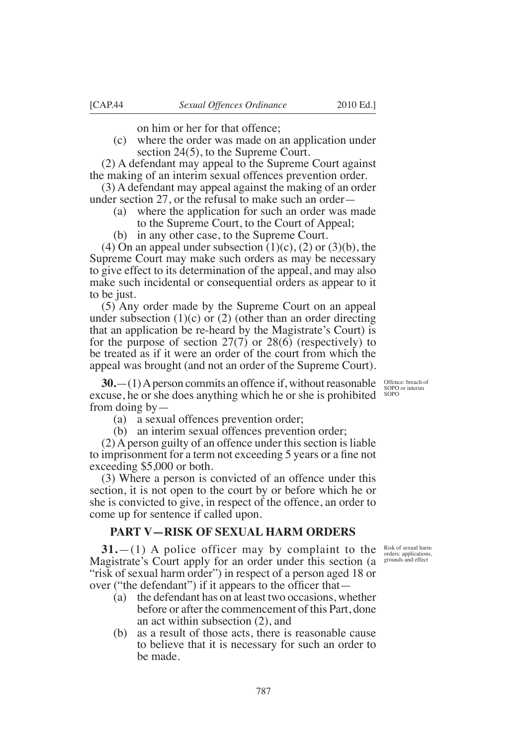on him or her for that offence;

(c) where the order was made on an application under section 24(5), to the Supreme Court.

(2) A defendant may appeal to the Supreme Court against the making of an interim sexual offences prevention order.

(3) A defendant may appeal against the making of an order under section 27, or the refusal to make such an order—

- (a) where the application for such an order was made to the Supreme Court, to the Court of Appeal;
- (b) in any other case, to the Supreme Court.

(4) On an appeal under subsection  $(1)(c)$ ,  $(2)$  or  $(3)(b)$ , the Supreme Court may make such orders as may be necessary to give effect to its determination of the appeal, and may also make such incidental or consequential orders as appear to it to be just.

(5) Any order made by the Supreme Court on an appeal under subsection  $(1)(c)$  or  $(2)$  (other than an order directing that an application be re-heard by the Magistrate's Court) is for the purpose of section 27(7) or 28(6) (respectively) to be treated as if it were an order of the court from which the appeal was brought (and not an order of the Supreme Court).

**30.**—(1) A person commits an offence if, without reasonable excuse, he or she does anything which he or she is prohibited from doing by—

(a) a sexual offences prevention order;

(b) an interim sexual offences prevention order;

(2) A person guilty of an offence under this section is liable to imprisonment for a term not exceeding 5 years or a fine not exceeding \$5,000 or both.

(3) Where a person is convicted of an offence under this section, it is not open to the court by or before which he or she is convicted to give, in respect of the offence, an order to come up for sentence if called upon.

## **PART V—RISK OF SEXUAL HARM ORDERS**

**31.**—(1) A police officer may by complaint to the Magistrate's Court apply for an order under this section (a "risk of sexual harm order") in respect of a person aged 18 or over ("the defendant") if it appears to the officer that  $-$ 

- (a) the defendant has on at least two occasions, whether before or after the commencement of this Part, done an act within subsection (2), and
- (b) as a result of those acts, there is reasonable cause to believe that it is necessary for such an order to be made.

Offence: breach of SOPO or interim

SOPO

Risk of sexual harm orders: applications, grounds and effect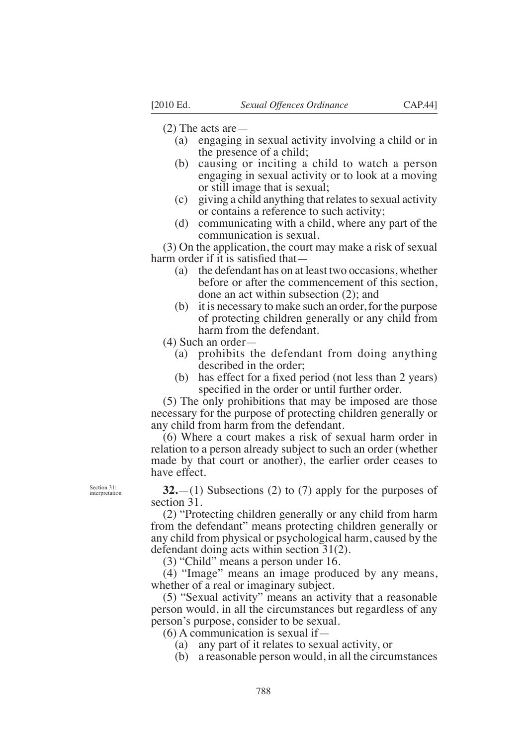(2) The acts are—

- (a) engaging in sexual activity involving a child or in the presence of a child;
- (b) causing or inciting a child to watch a person engaging in sexual activity or to look at a moving or still image that is sexual;
- (c) giving a child anything that relates to sexual activity or contains a reference to such activity;
- (d) communicating with a child, where any part of the communication is sexual.

(3) On the application, the court may make a risk of sexual harm order if it is satisfied that—

- (a) the defendant has on at least two occasions, whether before or after the commencement of this section, done an act within subsection (2); and
- (b) it is necessary to make such an order, for the purpose of protecting children generally or any child from harm from the defendant.

(4) Such an order—

- (a) prohibits the defendant from doing anything described in the order;
- (b) has effect for a fixed period (not less than  $2$  years) specified in the order or until further order.

(5) The only prohibitions that may be imposed are those necessary for the purpose of protecting children generally or any child from harm from the defendant.

(6) Where a court makes a risk of sexual harm order in relation to a person already subject to such an order (whether made by that court or another), the earlier order ceases to have effect.

Section 31: interpretation

**32.**—(1) Subsections (2) to (7) apply for the purposes of section 31.

(2) "Protecting children generally or any child from harm from the defendant" means protecting children generally or any child from physical or psychological harm, caused by the defendant doing acts within section 31(2).

(3) "Child" means a person under 16.

(4) "Image" means an image produced by any means, whether of a real or imaginary subject.

(5) "Sexual activity" means an activity that a reasonable person would, in all the circumstances but regardless of any person's purpose, consider to be sexual.

(6) A communication is sexual if—

- (a) any part of it relates to sexual activity, or
- (b) a reasonable person would, in all the circumstances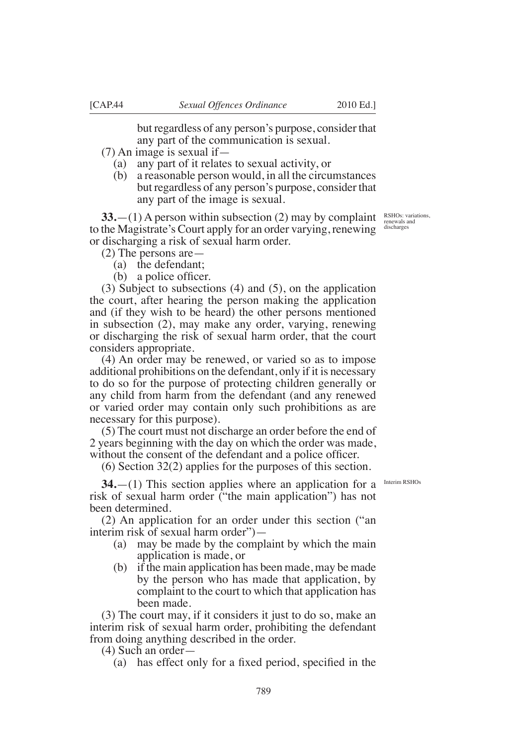but regardless of any person's purpose, consider that any part of the communication is sexual.

- (7) An image is sexual if—
	- (a) any part of it relates to sexual activity, or
	- (b) a reasonable person would, in all the circumstances but regardless of any person's purpose, consider that any part of the image is sexual.

**33.**—(1) A person within subsection (2) may by complaint to the Magistrate's Court apply for an order varying, renewing or discharging a risk of sexual harm order.

(2) The persons are—

- (a) the defendant;
- (b) a police officer.

(3) Subject to subsections (4) and (5), on the application the court, after hearing the person making the application and (if they wish to be heard) the other persons mentioned in subsection (2), may make any order, varying, renewing or discharging the risk of sexual harm order, that the court considers appropriate.

(4) An order may be renewed, or varied so as to impose additional prohibitions on the defendant, only if it is necessary to do so for the purpose of protecting children generally or any child from harm from the defendant (and any renewed or varied order may contain only such prohibitions as are necessary for this purpose).

(5) The court must not discharge an order before the end of 2 years beginning with the day on which the order was made, without the consent of the defendant and a police officer.

(6) Section 32(2) applies for the purposes of this section.

**34.**—(1) This section applies where an application for a risk of sexual harm order ("the main application") has not been determined.

(2) An application for an order under this section ("an interim risk of sexual harm order")—

- (a) may be made by the complaint by which the main application is made, or
- (b) if the main application has been made, may be made by the person who has made that application, by complaint to the court to which that application has been made.

(3) The court may, if it considers it just to do so, make an interim risk of sexual harm order, prohibiting the defendant from doing anything described in the order.

(4) Such an order—

(a) has effect only for a fixed period, specified in the

RSHOs: variations, renewals and discharges

Interim RSHOs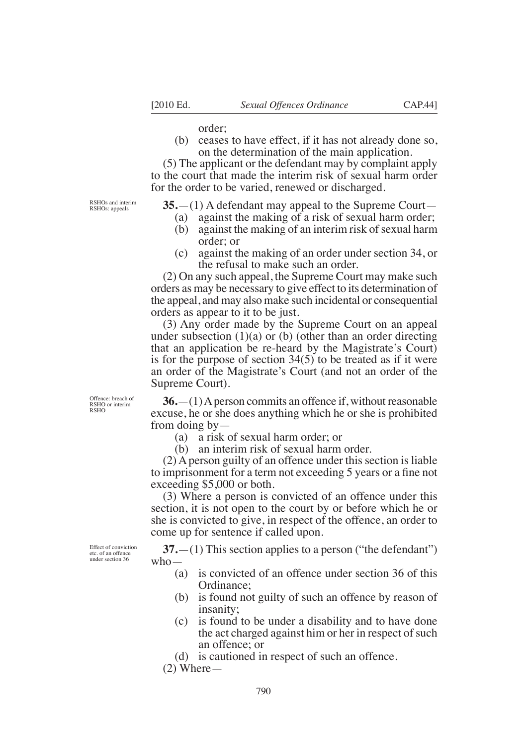order;

(b) ceases to have effect, if it has not already done so, on the determination of the main application.

(5) The applicant or the defendant may by complaint apply to the court that made the interim risk of sexual harm order for the order to be varied, renewed or discharged.

RSHOs and interim RSHOs: appeals

**35.**—(1) A defendant may appeal to the Supreme Court—

- (a) against the making of a risk of sexual harm order;
- (b) against the making of an interim risk of sexual harm order; or
- (c) against the making of an order under section 34, or the refusal to make such an order.

(2) On any such appeal, the Supreme Court may make such orders as may be necessary to give effect to its determination of the appeal, and may also make such incidental or consequential orders as appear to it to be just.

(3) Any order made by the Supreme Court on an appeal under subsection  $(1)(a)$  or  $(b)$  (other than an order directing that an application be re-heard by the Magistrate's Court) is for the purpose of section 34(5) to be treated as if it were an order of the Magistrate's Court (and not an order of the Supreme Court).

Offence: breach of RSHO or interim RSHO

**36.**—(1) A person commits an offence if, without reasonable excuse, he or she does anything which he or she is prohibited from doing by—

(a) a risk of sexual harm order; or

(b) an interim risk of sexual harm order.

(2) A person guilty of an offence under this section is liable to imprisonment for a term not exceeding 5 years or a fine not exceeding \$5,000 or both.

(3) Where a person is convicted of an offence under this section, it is not open to the court by or before which he or she is convicted to give, in respect of the offence, an order to come up for sentence if called upon.

Effect of conviction etc. of an offence under section 36

**37.**—(1) This section applies to a person ("the defendant") who—

- (a) is convicted of an offence under section 36 of this Ordinance;
- (b) is found not guilty of such an offence by reason of insanity;
- (c) is found to be under a disability and to have done the act charged against him or her in respect of such an offence; or
- (d) is cautioned in respect of such an offence.
- $(2)$  Where —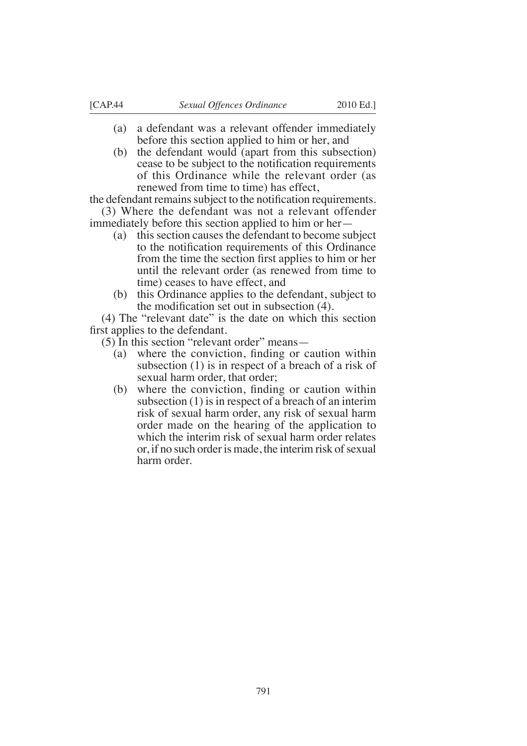- (a) a defendant was a relevant offender immediately before this section applied to him or her, and
- (b) the defendant would (apart from this subsection) cease to be subject to the notification requirements of this Ordinance while the relevant order (as renewed from time to time) has effect,

the defendant remains subject to the notification requirements. (3) Where the defendant was not a relevant offender

immediately before this section applied to him or her—

- (a) this section causes the defendant to become subject to the notification requirements of this Ordinance from the time the section first applies to him or her until the relevant order (as renewed from time to time) ceases to have effect, and
- (b) this Ordinance applies to the defendant, subject to the modification set out in subsection  $(4)$ .

(4) The "relevant date" is the date on which this section first applies to the defendant.

(5) In this section "relevant order" means—

- (a) where the conviction, finding or caution within subsection (1) is in respect of a breach of a risk of sexual harm order, that order;
- $(b)$  where the conviction, finding or caution within subsection (1) is in respect of a breach of an interim risk of sexual harm order, any risk of sexual harm order made on the hearing of the application to which the interim risk of sexual harm order relates or, if no such order is made, the interim risk of sexual harm order.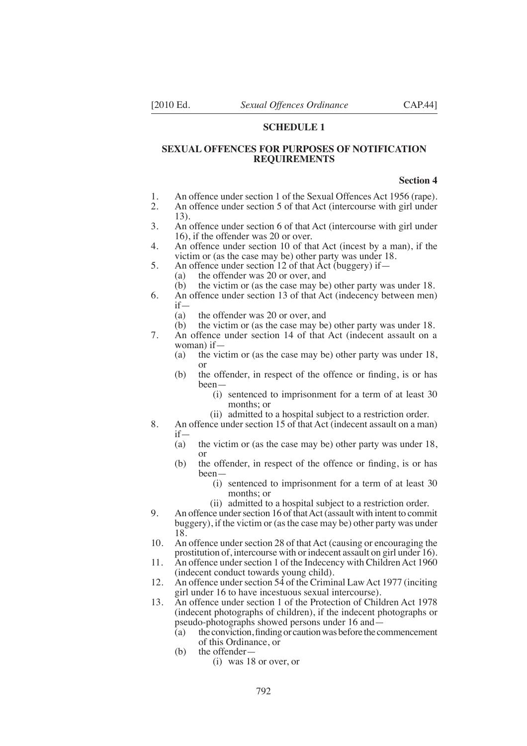#### **SCHEDULE 1**

#### **SEXUAL OFFENCES FOR PURPOSES OF NOTIFICATION REQUIREMENTS**

#### **Section 4**

- 1. An offence under section 1 of the Sexual Offences Act 1956 (rape).
- 2. An offence under section 5 of that Act (intercourse with girl under 13).
- 3. An offence under section 6 of that Act (intercourse with girl under 16), if the offender was 20 or over.
- 4. An offence under section 10 of that Act (incest by a man), if the victim or (as the case may be) other party was under 18.
- 5. An offence under section 12 of that  $\hat{A}$ ct (buggery) if—
	- (a) the offender was 20 or over, and
	- (b) the victim or (as the case may be) other party was under 18.
- 6. An offence under section 13 of that Act (indecency between men)  $if-\n(a)$ 
	- (a) the offender was 20 or over, and<br>(b) the victim or (as the case may be
	- the victim or (as the case may be) other party was under 18.
- 7. An offence under section 14 of that Act (indecent assault on a woman) if—
	- (a) the victim or (as the case may be) other party was under 18, or
	- $(b)$  the offender, in respect of the offence or finding, is or has been—
		- (i) sentenced to imprisonment for a term of at least 30 months; or
		- (ii) admitted to a hospital subject to a restriction order.
- 8. An offence under section 15 of that Act (indecent assault on a man) if—
	- (a) the victim or (as the case may be) other party was under 18, or
	- $(b)$  the offender, in respect of the offence or finding, is or has been—
		- (i) sentenced to imprisonment for a term of at least 30 months; or
		- (ii) admitted to a hospital subject to a restriction order.
- 9. An offence under section 16 of that Act (assault with intent to commit buggery), if the victim or (as the case may be) other party was under 18.
- 10. An offence under section 28 of that Act (causing or encouraging the prostitution of, intercourse with or indecent assault on girl under 16).
- 11. An offence under section 1 of the Indecency with Children Act 1960 (indecent conduct towards young child).
- 12. An offence under section 54 of the Criminal Law Act 1977 (inciting girl under 16 to have incestuous sexual intercourse).
- 13. An offence under section 1 of the Protection of Children Act 1978 (indecent photographs of children), if the indecent photographs or pseudo-photographs showed persons under 16 and—
	- (a) the conviction, finding or caution was before the commencement of this Ordinance, or
	- (b) the offender—
		- (i) was 18 or over, or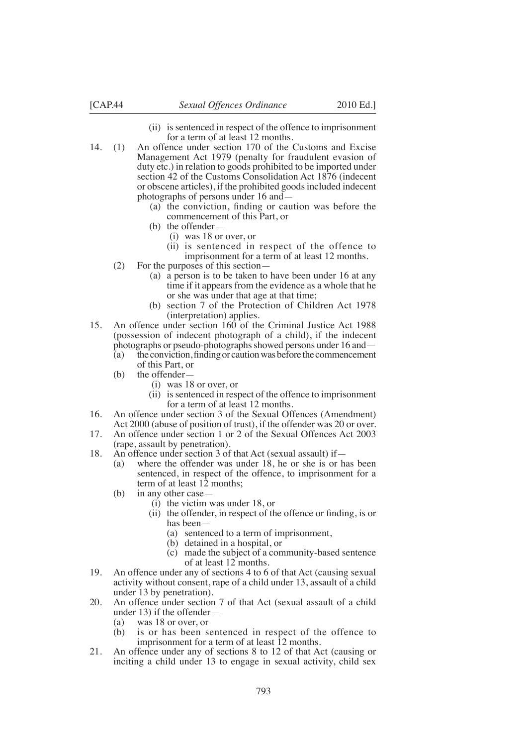- (ii) is sentenced in respect of the offence to imprisonment for a term of at least 12 months.
- 14. (1) An offence under section 170 of the Customs and Excise Management Act 1979 (penalty for fraudulent evasion of duty etc.) in relation to goods prohibited to be imported under section 42 of the Customs Consolidation Act 1876 (indecent or obscene articles), if the prohibited goods included indecent photographs of persons under 16 and—
	- (a) the conviction, finding or caution was before the commencement of this Part, or
	- (b) the offender
		- i(i) was 18 or over, or
		- (ii) is sentenced in respect of the offence to imprisonment for a term of at least 12 months.
	- (2) For the purposes of this section—
		- (a) a person is to be taken to have been under 16 at any time if it appears from the evidence as a whole that he or she was under that age at that time;
		- (b) section 7 of the Protection of Children Act 1978 (interpretation) applies.
- 15. An offence under section 160 of the Criminal Justice Act 1988 (possession of indecent photograph of a child), if the indecent photographs or pseudo-photographs showed persons under 16 and—
	- (a) the conviction, finding or caution was before the commencement of this Part, or
	- (b) the offender—
		- (i) was 18 or over, or
		- (ii) is sentenced in respect of the offence to imprisonment for a term of at least 12 months.
- 16. An offence under section 3 of the Sexual Offences (Amendment) Act 2000 (abuse of position of trust), if the offender was 20 or over.
- 17. An offence under section 1 or 2 of the Sexual Offences Act 2003 (rape, assault by penetration).
- 18. An offence under section 3 of that Act (sexual assault) if—
	- (a) where the offender was under 18, he or she is or has been sentenced, in respect of the offence, to imprisonment for a term of at least 12 months;
	- (b) in any other case—
		- (i) the victim was under 18, or
		- $(ii)$  the offender, in respect of the offence or finding, is or has been—
			- (a) sentenced to a term of imprisonment,
			- (b) detained in a hospital, or
			- (c) made the subject of a community-based sentence of at least 12 months.
- 19. An offence under any of sections 4 to 6 of that Act (causing sexual activity without consent, rape of a child under 13, assault of a child under 13 by penetration).
- 20. An offence under section 7 of that Act (sexual assault of a child under 13) if the offender—<br>(a) was 18 or over, or
	- was 18 or over, or
	- (b) is or has been sentenced in respect of the offence to imprisonment for a term of at least 12 months.
- 21. An offence under any of sections 8 to 12 of that Act (causing or inciting a child under 13 to engage in sexual activity, child sex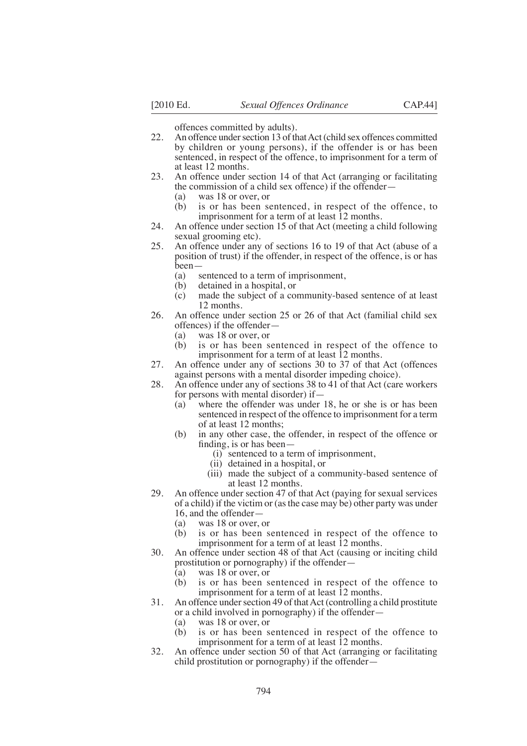offences committed by adults).

- 22. An offence under section 13 of that Act (child sex offences committed by children or young persons), if the offender is or has been sentenced, in respect of the offence, to imprisonment for a term of at least 12 months.
- 23. An offence under section 14 of that Act (arranging or facilitating the commission of a child sex offence) if the offender—
	- (a) was 18 or over, or
	- (b) is or has been sentenced, in respect of the offence, to imprisonment for a term of at least  $\overline{12}$  months.
- 24. An offence under section 15 of that Act (meeting a child following sexual grooming etc).
- 25. An offence under any of sections 16 to 19 of that Act (abuse of a position of trust) if the offender, in respect of the offence, is or has been—
	- (a) sentenced to a term of imprisonment,<br>(b) detained in a hospital, or
	- detained in a hospital, or
	- (c) made the subject of a community-based sentence of at least 12 months.
- 26. An offence under section 25 or 26 of that Act (familial child sex % offences) if the offender—<br>(a) was 18 or over, or
	- was 18 or over, or
	- (b) is or has been sentenced in respect of the offence to imprisonment for a term of at least 12 months.
- 27. An offence under any of sections 30 to 37 of that Act (offences against persons with a mental disorder impeding choice).
- 28. An offence under any of sections 38 to 41 of that Act (care workers for persons with mental disorder) if—
	- (a) where the offender was under 18, he or she is or has been sentenced in respect of the offence to imprisonment for a term of at least 12 months;
	- (b) in any other case, the offender, in respect of the offence or finding, is or has been $-$ 
		- (i) sentenced to a term of imprisonment,
		- (ii) detained in a hospital, or
		- (iii) made the subject of a community-based sentence of at least 12 months.
- 29. An offence under section 47 of that Act (paying for sexual services of a child) if the victim or (as the case may be) other party was under
	- 16, and the offender-<br>(a) was 18 or over.
	- (a) was  $18$  or over, or (b) is or has been s is or has been sentenced in respect of the offence to imprisonment for a term of at least  $12$  months.
- 30. An offence under section 48 of that Act (causing or inciting child prostitution or pornography) if the offender—
	- $(a)$  was 18 or over, or
	- (b) is or has been sentenced in respect of the offence to imprisonment for a term of at least  $\overline{12}$  months.
- 31. An offence under section 49 of that Act (controlling a child prostitute or a child involved in pornography) if the offender—
	- (a) was 18 or over, or
	- (b) is or has been sentenced in respect of the offence to imprisonment for a term of at least 12 months.
- 32. An offence under section 50 of that Act (arranging or facilitating child prostitution or pornography) if the offender—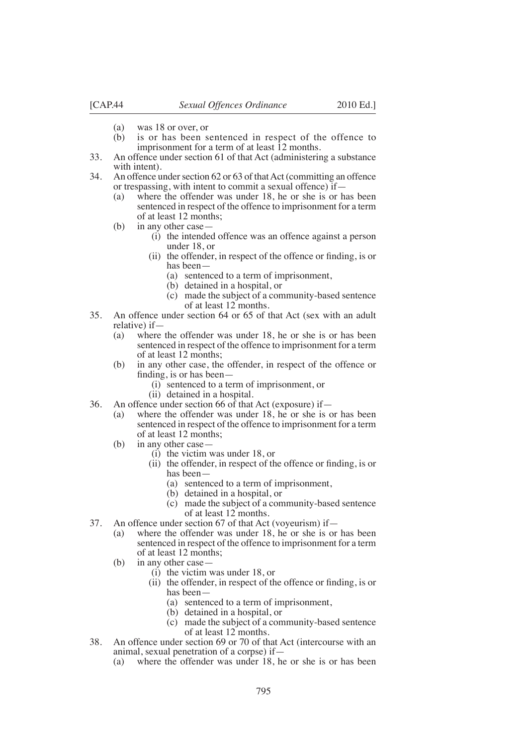- (a) was 18 or over, or<br>(b) is or has been s
- is or has been sentenced in respect of the offence to imprisonment for a term of at least  $\overline{12}$  months.
- 33. An offence under section 61 of that Act (administering a substance with intent).
- 34. An offence under section 62 or 63 of that Act (committing an offence or trespassing, with intent to commit a sexual offence) if—
	- (a) where the offender was under 18, he or she is or has been sentenced in respect of the offence to imprisonment for a term of at least 12 months;
	- (b) in any other case—
		- (i) the intended offence was an offence against a person under 18, or
		- $(ii)$  the offender, in respect of the offence or finding, is or has been—
			- (a) sentenced to a term of imprisonment,
			- (b) detained in a hospital, or
			- (c) made the subject of a community-based sentence of at least 12 months.
- 35. An offence under section 64 or 65 of that Act (sex with an adult relative) if—
	- (a) where the offender was under 18, he or she is or has been sentenced in respect of the offence to imprisonment for a term of at least 12 months;
	- (b) in any other case, the offender, in respect of the offence or finding, is or has been  $-$ 
		- (i) sentenced to a term of imprisonment, or
		- (ii) detained in a hospital.
- 36. An offence under section 66 of that Act (exposure) if—
	- (a) where the offender was under 18, he or she is or has been sentenced in respect of the offence to imprisonment for a term of at least 12 months;
	- (b) in any other case—
		- (i) the victim was under 18, or
		- $(ii)$  the offender, in respect of the offence or finding, is or has been—
			- (a) sentenced to a term of imprisonment,
			- (b) detained in a hospital, or
			- (c) made the subject of a community-based sentence of at least 12 months.
- 37. An offence under section 67 of that Act (voyeurism) if—
	- (a) where the offender was under 18, he or she is or has been sentenced in respect of the offence to imprisonment for a term of at least 12 months;
	- (b) in any other case—
		- (i) the victim was under 18, or
		- (ii) the offender, in respect of the offence or finding, is or has been—
			- (a) sentenced to a term of imprisonment,
			- (b) detained in a hospital, or
			- (c) made the subject of a community-based sentence of at least 12 months.
- 38. An offence under section 69 or 70 of that Act (intercourse with an animal, sexual penetration of a corpse) if—
	- (a) where the offender was under 18, he or she is or has been